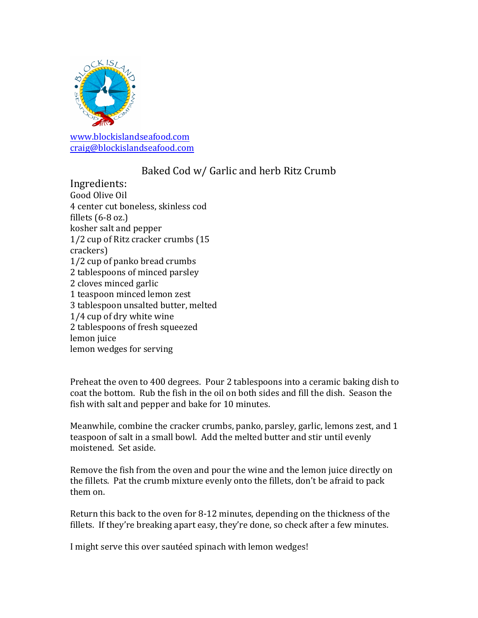

[www.blockislandseafood.com](http://www.blockislandseafood.com) [craig@blockislandseafood.com](mailto:craig@blockislandseafood.com)

## Baked Cod w/ Garlic and herb Ritz Crumb

Ingredients: Good Olive Oil 4 center cut boneless, skinless cod fillets (6-8 oz.) kosher salt and pepper 1/2 cup of Ritz cracker crumbs (15 crackers) 1/2 cup of panko bread crumbs 2 tablespoons of minced parsley 2 cloves minced garlic 1 teaspoon minced lemon zest 3 tablespoon unsalted butter, melted 1/4 cup of dry white wine 2 tablespoons of fresh squeezed lemon juice lemon wedges for serving

Preheat the oven to 400 degrees. Pour 2 tablespoons into a ceramic baking dish to coat the bottom. Rub the fish in the oil on both sides and fill the dish. Season the fish with salt and pepper and bake for 10 minutes.

Meanwhile, combine the cracker crumbs, panko, parsley, garlic, lemons zest, and 1 teaspoon of salt in a small bowl. Add the melted butter and stir until evenly moistened. Set aside.

Remove the fish from the oven and pour the wine and the lemon juice directly on the fillets. Pat the crumb mixture evenly onto the fillets, don't be afraid to pack them on.

Return this back to the oven for 8-12 minutes, depending on the thickness of the fillets. If they're breaking apart easy, they're done, so check after a few minutes.

I might serve this over sautéed spinach with lemon wedges!